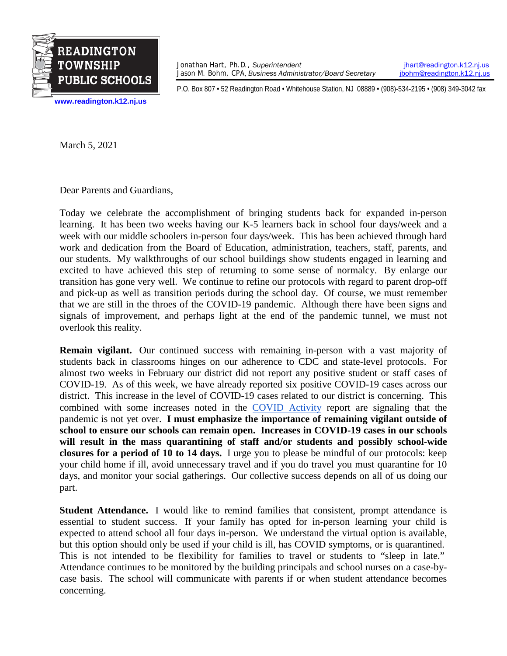

Jonathan Hart, Ph.D., *Superintendent [jhart@readington.k12.nj.us](mailto:jhart@readington.k12.nj.us)*<br>Jason M. Bohm, CPA, Business Administrator/Board Secretary *jhohm@readington.k12.nj.us* Jason M. Bohm, CPA, *Business Administrator/Board Secretary* 

P.O. Box 807 • 52 Readington Road • Whitehouse Station, NJ 08889 • (908)-534-2195 • (908) 349-3042 fax

**[www.readington.k12.nj.us](http://www.readington.k12.nj.us/)**

March 5, 2021

Dear Parents and Guardians,

Today we celebrate the accomplishment of bringing students back for expanded in-person learning. It has been two weeks having our K-5 learners back in school four days/week and a week with our middle schoolers in-person four days/week. This has been achieved through hard work and dedication from the Board of Education, administration, teachers, staff, parents, and our students. My walkthroughs of our school buildings show students engaged in learning and excited to have achieved this step of returning to some sense of normalcy. By enlarge our transition has gone very well. We continue to refine our protocols with regard to parent drop-off and pick-up as well as transition periods during the school day. Of course, we must remember that we are still in the throes of the COVID-19 pandemic. Although there have been signs and signals of improvement, and perhaps light at the end of the pandemic tunnel, we must not overlook this reality.

**Remain vigilant.** Our continued success with remaining in-person with a vast majority of students back in classrooms hinges on our adherence to CDC and state-level protocols. For almost two weeks in February our district did not report any positive student or staff cases of COVID-19. As of this week, we have already reported six positive COVID-19 cases across our district. This increase in the level of COVID-19 cases related to our district is concerning. This combined with some increases noted in the [COVID Activity](https://www.nj.gov/health/cd/documents/topics/NCOV/COVID_19_Report_Week_2021_8.pdf) report are signaling that the pandemic is not yet over. **I must emphasize the importance of remaining vigilant outside of school to ensure our schools can remain open. Increases in COVID-19 cases in our schools will result in the mass quarantining of staff and/or students and possibly school-wide closures for a period of 10 to 14 days.** I urge you to please be mindful of our protocols: keep your child home if ill, avoid unnecessary travel and if you do travel you must quarantine for 10 days, and monitor your social gatherings. Our collective success depends on all of us doing our part.

**Student Attendance.** I would like to remind families that consistent, prompt attendance is essential to student success. If your family has opted for in-person learning your child is expected to attend school all four days in-person. We understand the virtual option is available, but this option should only be used if your child is ill, has COVID symptoms, or is quarantined. This is not intended to be flexibility for families to travel or students to "sleep in late." Attendance continues to be monitored by the building principals and school nurses on a case-bycase basis. The school will communicate with parents if or when student attendance becomes concerning.